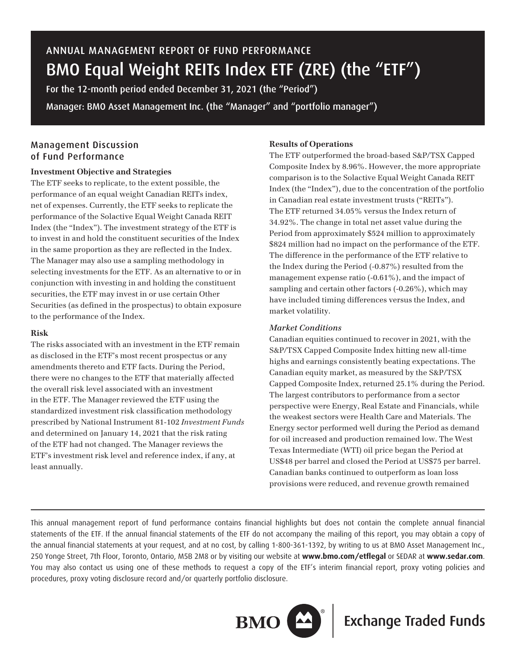# ANNUAL MANAGEMENT REPORT OF FUND PERFORMANCE BMO Equal Weight REITs Index ETF (ZRE) (the "ETF")

For the 12-month period ended December 31, 2021 (the "Period") Manager: BMO Asset Management Inc. (the "Manager" and "portfolio manager")

# Management Discussion of Fund Performance

## **Investment Objective and Strategies**

The ETF seeks to replicate, to the extent possible, the performance of an equal weight Canadian REITs index, net of expenses. Currently, the ETF seeks to replicate the performance of the Solactive Equal Weight Canada REIT Index (the "Index"). The investment strategy of the ETF is to invest in and hold the constituent securities of the Index in the same proportion as they are reflected in the Index. The Manager may also use a sampling methodology in selecting investments for the ETF. As an alternative to or in conjunction with investing in and holding the constituent securities, the ETF may invest in or use certain Other Securities (as defined in the prospectus) to obtain exposure to the performance of the Index.

## **Risk**

The risks associated with an investment in the ETF remain as disclosed in the ETF's most recent prospectus or any amendments thereto and ETF facts. During the Period, there were no changes to the ETF that materially affected the overall risk level associated with an investment in the ETF. The Manager reviewed the ETF using the standardized investment risk classification methodology prescribed by National Instrument 81-102 *Investment Funds* and determined on January 14, 2021 that the risk rating of the ETF had not changed. The Manager reviews the ETF's investment risk level and reference index, if any, at least annually.

## **Results of Operations**

The ETF outperformed the broad-based S&P/TSX Capped Composite Index by 8.96%. However, the more appropriate comparison is to the Solactive Equal Weight Canada REIT Index (the "Index"), due to the concentration of the portfolio in Canadian real estate investment trusts ("REITs"). The ETF returned 34.05% versus the Index return of 34.92%. The change in total net asset value during the Period from approximately \$524 million to approximately \$824 million had no impact on the performance of the ETF. The difference in the performance of the ETF relative to the Index during the Period (-0.87%) resulted from the management expense ratio (-0.61%), and the impact of sampling and certain other factors (-0.26%), which may have included timing differences versus the Index, and market volatility.

## *Market Conditions*

Canadian equities continued to recover in 2021, with the S&P/TSX Capped Composite Index hitting new all-time highs and earnings consistently beating expectations. The Canadian equity market, as measured by the S&P/TSX Capped Composite Index, returned 25.1% during the Period. The largest contributors to performance from a sector perspective were Energy, Real Estate and Financials, while the weakest sectors were Health Care and Materials. The Energy sector performed well during the Period as demand for oil increased and production remained low. The West Texas Intermediate (WTI) oil price began the Period at US\$48 per barrel and closed the Period at US\$75 per barrel. Canadian banks continued to outperform as loan loss provisions were reduced, and revenue growth remained

This annual management report of fund performance contains financial highlights but does not contain the complete annual financial statements of the ETF. If the annual financial statements of the ETF do not accompany the mailing of this report, you may obtain a copy of the annual financial statements at your request, and at no cost, by calling 1-800-361-1392, by writing to us at BMO Asset Management Inc., 250 Yonge Street, 7th Floor, Toronto, Ontario, M5B 2M8 or by visiting our website at **www.bmo.com/etflegal** or SEDAR at **www.sedar.com**. You may also contact us using one of these methods to request a copy of the ETF's interim financial report, proxy voting policies and procedures, proxy voting disclosure record and/or quarterly portfolio disclosure.



**BMO**  $\boxed{\triangle}$  **Exchange Traded Funds**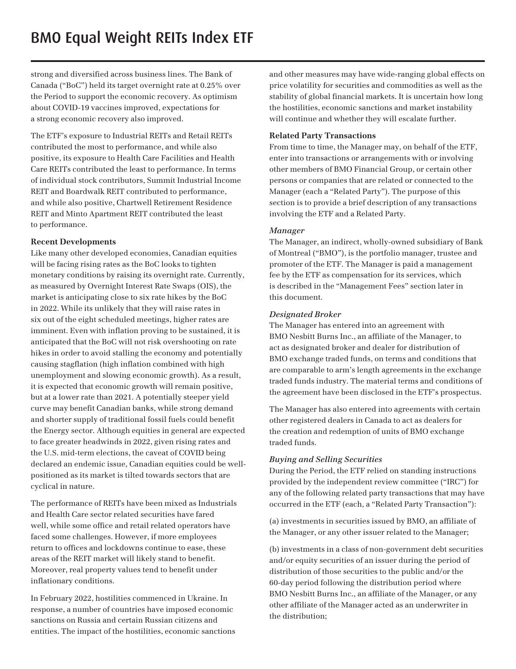strong and diversified across business lines. The Bank of Canada ("BoC") held its target overnight rate at 0.25% over the Period to support the economic recovery. As optimism about COVID-19 vaccines improved, expectations for a strong economic recovery also improved.

The ETF's exposure to Industrial REITs and Retail REITs contributed the most to performance, and while also positive, its exposure to Health Care Facilities and Health Care REITs contributed the least to performance. In terms of individual stock contributors, Summit Industrial Income REIT and Boardwalk REIT contributed to performance, and while also positive, Chartwell Retirement Residence REIT and Minto Apartment REIT contributed the least to performance.

## **Recent Developments**

Like many other developed economies, Canadian equities will be facing rising rates as the BoC looks to tighten monetary conditions by raising its overnight rate. Currently, as measured by Overnight Interest Rate Swaps (OIS), the market is anticipating close to six rate hikes by the BoC in 2022. While its unlikely that they will raise rates in six out of the eight scheduled meetings, higher rates are imminent. Even with inflation proving to be sustained, it is anticipated that the BoC will not risk overshooting on rate hikes in order to avoid stalling the economy and potentially causing stagflation (high inflation combined with high unemployment and slowing economic growth). As a result, it is expected that economic growth will remain positive, but at a lower rate than 2021. A potentially steeper yield curve may benefit Canadian banks, while strong demand and shorter supply of traditional fossil fuels could benefit the Energy sector. Although equities in general are expected to face greater headwinds in 2022, given rising rates and the U.S. mid-term elections, the caveat of COVID being declared an endemic issue, Canadian equities could be wellpositioned as its market is tilted towards sectors that are cyclical in nature.

The performance of REITs have been mixed as Industrials and Health Care sector related securities have fared well, while some office and retail related operators have faced some challenges. However, if more employees return to offices and lockdowns continue to ease, these areas of the REIT market will likely stand to benefit. Moreover, real property values tend to benefit under inflationary conditions.

In February 2022, hostilities commenced in Ukraine. In response, a number of countries have imposed economic sanctions on Russia and certain Russian citizens and entities. The impact of the hostilities, economic sanctions

and other measures may have wide-ranging global effects on price volatility for securities and commodities as well as the stability of global financial markets. It is uncertain how long the hostilities, economic sanctions and market instability will continue and whether they will escalate further.

## **Related Party Transactions**

From time to time, the Manager may, on behalf of the ETF, enter into transactions or arrangements with or involving other members of BMO Financial Group, or certain other persons or companies that are related or connected to the Manager (each a "Related Party"). The purpose of this section is to provide a brief description of any transactions involving the ETF and a Related Party.

## *Manager*

The Manager, an indirect, wholly-owned subsidiary of Bank of Montreal ("BMO"), is the portfolio manager, trustee and promoter of the ETF. The Manager is paid a management fee by the ETF as compensation for its services, which is described in the "Management Fees" section later in this document.

## *Designated Broker*

The Manager has entered into an agreement with BMO Nesbitt Burns Inc., an affiliate of the Manager, to act as designated broker and dealer for distribution of BMO exchange traded funds, on terms and conditions that are comparable to arm's length agreements in the exchange traded funds industry. The material terms and conditions of the agreement have been disclosed in the ETF's prospectus.

The Manager has also entered into agreements with certain other registered dealers in Canada to act as dealers for the creation and redemption of units of BMO exchange traded funds.

## *Buying and Selling Securities*

During the Period, the ETF relied on standing instructions provided by the independent review committee ("IRC") for any of the following related party transactions that may have occurred in the ETF (each, a "Related Party Transaction"):

(a) investments in securities issued by BMO, an affiliate of the Manager, or any other issuer related to the Manager;

(b) investments in a class of non-government debt securities and/or equity securities of an issuer during the period of distribution of those securities to the public and/or the 60-day period following the distribution period where BMO Nesbitt Burns Inc., an affiliate of the Manager, or any other affiliate of the Manager acted as an underwriter in the distribution;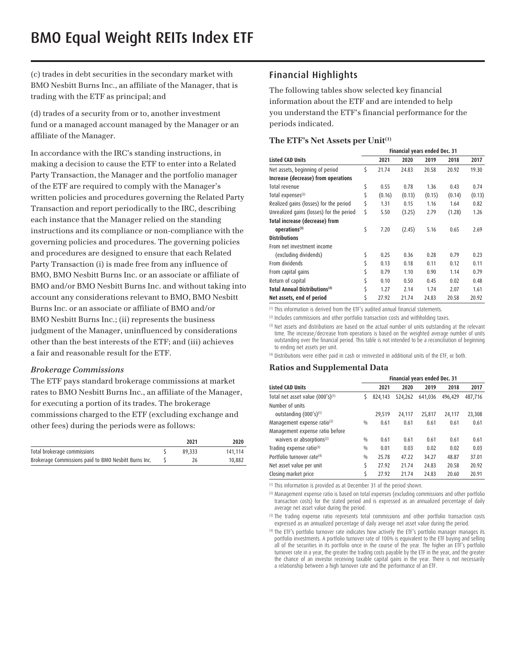(c) trades in debt securities in the secondary market with BMO Nesbitt Burns Inc., an affiliate of the Manager, that is trading with the ETF as principal; and

(d) trades of a security from or to, another investment fund or a managed account managed by the Manager or an affiliate of the Manager.

In accordance with the IRC's standing instructions, in making a decision to cause the ETF to enter into a Related Party Transaction, the Manager and the portfolio manager of the ETF are required to comply with the Manager's written policies and procedures governing the Related Party Transaction and report periodically to the IRC, describing each instance that the Manager relied on the standing instructions and its compliance or non-compliance with the governing policies and procedures. The governing policies and procedures are designed to ensure that each Related Party Transaction (i) is made free from any influence of BMO, BMO Nesbitt Burns Inc. or an associate or affiliate of BMO and/or BMO Nesbitt Burns Inc. and without taking into account any considerations relevant to BMO, BMO Nesbitt Burns Inc. or an associate or affiliate of BMO and/or BMO Nesbitt Burns Inc.; (ii) represents the business judgment of the Manager, uninfluenced by considerations other than the best interests of the ETF; and (iii) achieves a fair and reasonable result for the ETF.

#### *Brokerage Commissions*

The ETF pays standard brokerage commissions at market rates to BMO Nesbitt Burns Inc., an affiliate of the Manager, for executing a portion of its trades. The brokerage commissions charged to the ETF (excluding exchange and other fees) during the periods were as follows:

|                                                      | 2021   | 2020    |
|------------------------------------------------------|--------|---------|
| Total brokerage commissions                          | 89,333 | 141.114 |
| Brokerage Commissions paid to BMO Nesbitt Burns Inc. | 26     | 10,882  |

# Financial Highlights

The following tables show selected key financial information about the ETF and are intended to help you understand the ETF's financial performance for the periods indicated.

#### **The ETF's Net Assets per Unit(1)**

|                                          |    | Financial years ended Dec. 31 |        |        |        |        |
|------------------------------------------|----|-------------------------------|--------|--------|--------|--------|
| <b>Listed CAD Units</b>                  |    | 2021                          | 2020   | 2019   | 2018   | 2017   |
| Net assets, beginning of period          | \$ | 21.74                         | 24.83  | 20.58  | 20.92  | 19.30  |
| Increase (decrease) from operations      |    |                               |        |        |        |        |
| Total revenue                            | \$ | 0.55                          | 0.78   | 1.36   | 0.43   | 0.74   |
| Total expenses <sup>(2)</sup>            | \$ | (0.16)                        | (0.13) | (0.15) | (0.14) | (0.13) |
| Realized gains (losses) for the period   | \$ | 1.31                          | 0.15   | 1.16   | 1.64   | 0.82   |
| Unrealized gains (losses) for the period | \$ | 5.50                          | (3.25) | 2.79   | (1.28) | 1.26   |
| Total increase (decrease) from           |    |                               |        |        |        |        |
| operations <sup>(3)</sup>                | \$ | 7.20                          | (2.45) | 5.16   | 0.65   | 2.69   |
| <b>Distributions</b>                     |    |                               |        |        |        |        |
| From net investment income               |    |                               |        |        |        |        |
| (excluding dividends)                    | \$ | 0.25                          | 0.36   | 0.28   | 0.79   | 0.23   |
| From dividends                           | \$ | 0.13                          | 0.18   | 0.11   | 0.12   | 0.11   |
| From capital gains                       |    | 0.79                          | 1.10   | 0.90   | 1.14   | 0.79   |
| Return of capital                        | \$ | 0.10                          | 0.50   | 0.45   | 0.02   | 0.48   |
| <b>Total Annual Distributions(4)</b>     | Ś  | 1.27                          | 2.14   | 1.74   | 2.07   | 1.61   |
| Net assets, end of period                | \$ | 27.92                         | 21.74  | 24.83  | 20.58  | 20.92  |

(1) This information is derived from the ETF's audited annual financial statements.

(2) Includes commissions and other portfolio transaction costs and withholding taxes.

<sup>(3)</sup> Net assets and distributions are based on the actual number of units outstanding at the relevant time. The increase/decrease from operations is based on the weighted average number of units outstanding over the financial period. This table is not intended to be a reconciliation of beginning to ending net assets per unit.

(4) Distributions were either paid in cash or reinvested in additional units of the ETF, or both.

#### **Ratios and Supplemental Data**

|                                         | Financial years ended Dec. 31 |         |         |         |         |         |
|-----------------------------------------|-------------------------------|---------|---------|---------|---------|---------|
| <b>Listed CAD Units</b>                 |                               | 2021    | 2020    | 2019    | 2018    | 2017    |
| Total net asset value (000's)(1)        | S                             | 824,143 | 524,262 | 641.036 | 496.429 | 487.716 |
| Number of units                         |                               |         |         |         |         |         |
| outstanding $(000's)^{(1)}$             |                               | 29,519  | 24,117  | 25,817  | 24,117  | 23,308  |
| Management expense ratio <sup>(2)</sup> | $\frac{0}{0}$                 | 0.61    | 0.61    | 0.61    | 0.61    | 0.61    |
| Management expense ratio before         |                               |         |         |         |         |         |
| waivers or absorptions <sup>(2)</sup>   | 0/0                           | 0.61    | 0.61    | 0.61    | 0.61    | 0.61    |
| Trading expense ratio(3)                | $\frac{0}{0}$                 | 0.01    | 0.03    | 0.02    | 0.02    | 0.03    |
| Portfolio turnover rate <sup>(4)</sup>  | 0/0                           | 25.78   | 47.22   | 34.27   | 48.87   | 37.01   |
| Net asset value per unit                | \$                            | 27.92   | 21.74   | 24.83   | 20.58   | 20.92   |
| Closing market price                    | Ś                             | 27.92   | 21.74   | 24.83   | 20.60   | 20.91   |

(1) This information is provided as at December 31 of the period shown.

(2) Management expense ratio is based on total expenses (excluding commissions and other portfolio transaction costs) for the stated period and is expressed as an annualized percentage of daily average net asset value during the period.

<sup>(3)</sup> The trading expense ratio represents total commissions and other portfolio transaction costs expressed as an annualized percentage of daily average net asset value during the period.

(4) The ETF's portfolio turnover rate indicates how actively the ETF's portfolio manager manages its portfolio investments. A portfolio turnover rate of 100% is equivalent to the ETF buying and selling all of the securities in its portfolio once in the course of the year. The higher an ETF's portfolio turnover rate in a year, the greater the trading costs payable by the ETF in the year, and the greater the chance of an investor receiving taxable capital gains in the year. There is not necessarily a relationship between a high turnover rate and the performance of an ETF.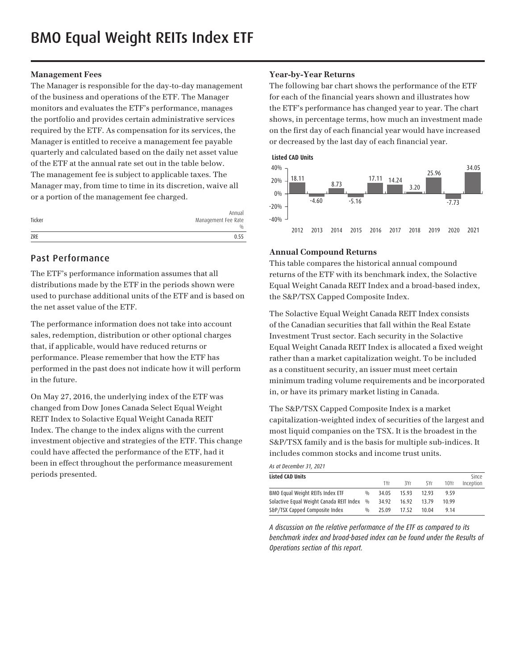## **Management Fees**

The Manager is responsible for the day-to-day management of the business and operations of the ETF. The Manager monitors and evaluates the ETF's performance, manages the portfolio and provides certain administrative services required by the ETF. As compensation for its services, the Manager is entitled to receive a management fee payable quarterly and calculated based on the daily net asset value of the ETF at the annual rate set out in the table below. The management fee is subject to applicable taxes. The Manager may, from time to time in its discretion, waive all or a portion of the management fee charged.

| Ticker | Annual<br>Management Fee Rate<br>0/0 |
|--------|--------------------------------------|
| ZRE    | 0.55                                 |

## Past Performance

The ETF's performance information assumes that all distributions made by the ETF in the periods shown were used to purchase additional units of the ETF and is based on the net asset value of the ETF.

The performance information does not take into account sales, redemption, distribution or other optional charges that, if applicable, would have reduced returns or performance. Please remember that how the ETF has performed in the past does not indicate how it will perform in the future.

On May 27, 2016, the underlying index of the ETF was changed from Dow Jones Canada Select Equal Weight REIT Index to Solactive Equal Weight Canada REIT Index. The change to the index aligns with the current investment objective and strategies of the ETF. This change could have affected the performance of the ETF, had it been in effect throughout the performance measurement periods presented.

## **Year-by-Year Returns**

The following bar chart shows the performance of the ETF for each of the financial years shown and illustrates how the ETF's performance has changed year to year. The chart shows, in percentage terms, how much an investment made on the first day of each financial year would have increased or decreased by the last day of each financial year.



## **Annual Compound Returns**

This table compares the historical annual compound returns of the ETF with its benchmark index, the Solactive Equal Weight Canada REIT Index and a broad-based index, the S&P/TSX Capped Composite Index.

The Solactive Equal Weight Canada REIT Index consists of the Canadian securities that fall within the Real Estate Investment Trust sector. Each security in the Solactive Equal Weight Canada REIT Index is allocated a fixed weight rather than a market capitalization weight. To be included as a constituent security, an issuer must meet certain minimum trading volume requirements and be incorporated in, or have its primary market listing in Canada.

The S&P/TSX Capped Composite Index is a market capitalization-weighted index of securities of the largest and most liquid companies on the TSX. It is the broadest in the S&P/TSX family and is the basis for multiple sub-indices. It includes common stocks and income trust units.

*As at December 31, 2021*

| <b>Listed CAD Units</b>                  |               |       |       |       |       | Since     |
|------------------------------------------|---------------|-------|-------|-------|-------|-----------|
|                                          |               | 1Yr   | 3Yr   | 5Yr   | 10Yr  | Inception |
| BMO Equal Weight REITs Index ETF         | $\frac{0}{0}$ | 34.05 | 1593  | 1293  | 9.59  |           |
| Solactive Equal Weight Canada REIT Index | 0/0           | 34.92 | 16.92 | 1379  | 10 99 |           |
| S&P/TSX Capped Composite Index           | 0/0           | 25.09 | 17.52 | 10.04 | 9.14  |           |

*A discussion on the relative performance of the ETF as compared to its benchmark index and broad-based index can be found under the Results of Operations section of this report.*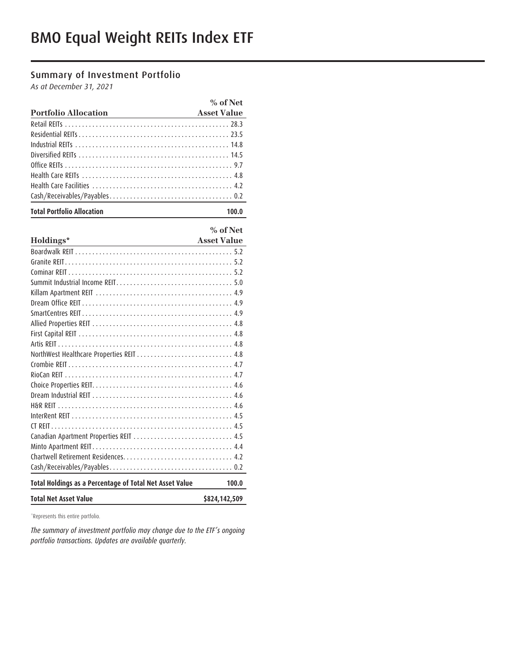# Summary of Investment Portfolio

*As at December 31, 2021*

|                                   | % of Net           |
|-----------------------------------|--------------------|
| <b>Portfolio Allocation</b>       | <b>Asset Value</b> |
|                                   |                    |
|                                   |                    |
|                                   |                    |
|                                   |                    |
|                                   |                    |
|                                   |                    |
|                                   |                    |
|                                   |                    |
| <b>Total Portfolio Allocation</b> | 100.0              |

**% of Net**

| Holdings*                                               | <b>Asset Value</b> |
|---------------------------------------------------------|--------------------|
|                                                         |                    |
|                                                         |                    |
|                                                         |                    |
|                                                         |                    |
|                                                         |                    |
|                                                         |                    |
|                                                         |                    |
|                                                         |                    |
|                                                         |                    |
|                                                         |                    |
| NorthWest Healthcare Properties REIT  4.8               |                    |
|                                                         |                    |
|                                                         |                    |
|                                                         |                    |
|                                                         |                    |
|                                                         |                    |
|                                                         |                    |
|                                                         |                    |
| Canadian Apartment Properties REIT  4.5                 |                    |
|                                                         |                    |
|                                                         |                    |
|                                                         |                    |
| Total Holdings as a Percentage of Total Net Asset Value | 100.0              |
| <b>Total Net Asset Value</b>                            | \$824,142,509      |

\*Represents this entire portfolio.

*The summary of investment portfolio may change due to the ETF's ongoing portfolio transactions. Updates are available quarterly.*